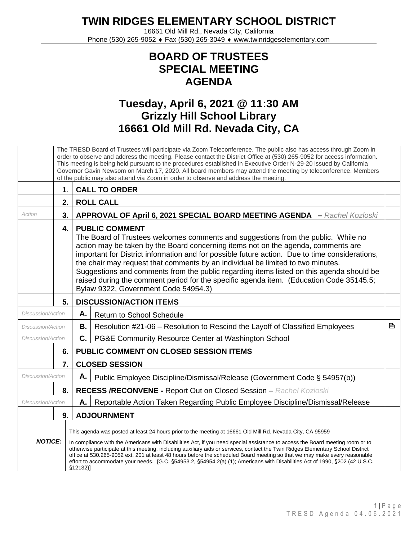**TWIN RIDGES ELEMENTARY SCHOOL DISTRICT**

16661 Old Mill Rd., Nevada City, California Phone (530) 265-9052 ♦ Fax (530) 265-3049 ♦ www.twinridgeselementary.com

## **BOARD OF TRUSTEES SPECIAL MEETING AGENDA**

## **Tuesday, April 6, 2021 @ 11:30 AM Grizzly Hill School Library 16661 Old Mill Rd. Nevada City, CA**

|                          | The TRESD Board of Trustees will participate via Zoom Teleconference. The public also has access through Zoom in<br>order to observe and address the meeting. Please contact the District Office at (530) 265-9052 for access information.<br>This meeting is being held pursuant to the procedures established in Executive Order N-29-20 issued by California<br>Governor Gavin Newsom on March 17, 2020. All board members may attend the meeting by teleconference. Members<br>of the public may also attend via Zoom in order to observe and address the meeting. |                                                                                                                                                                                                                                                                                                                                                                                                                                                                                                                                                                                                                     |                                                                                |   |
|--------------------------|------------------------------------------------------------------------------------------------------------------------------------------------------------------------------------------------------------------------------------------------------------------------------------------------------------------------------------------------------------------------------------------------------------------------------------------------------------------------------------------------------------------------------------------------------------------------|---------------------------------------------------------------------------------------------------------------------------------------------------------------------------------------------------------------------------------------------------------------------------------------------------------------------------------------------------------------------------------------------------------------------------------------------------------------------------------------------------------------------------------------------------------------------------------------------------------------------|--------------------------------------------------------------------------------|---|
|                          | $\mathbf 1$ .                                                                                                                                                                                                                                                                                                                                                                                                                                                                                                                                                          | <b>CALL TO ORDER</b>                                                                                                                                                                                                                                                                                                                                                                                                                                                                                                                                                                                                |                                                                                |   |
|                          | 2.                                                                                                                                                                                                                                                                                                                                                                                                                                                                                                                                                                     | <b>ROLL CALL</b>                                                                                                                                                                                                                                                                                                                                                                                                                                                                                                                                                                                                    |                                                                                |   |
| Action                   | 3.                                                                                                                                                                                                                                                                                                                                                                                                                                                                                                                                                                     | APPROVAL OF April 6, 2021 SPECIAL BOARD MEETING AGENDA - Rachel Kozloski                                                                                                                                                                                                                                                                                                                                                                                                                                                                                                                                            |                                                                                |   |
|                          | 4.                                                                                                                                                                                                                                                                                                                                                                                                                                                                                                                                                                     | <b>PUBLIC COMMENT</b><br>The Board of Trustees welcomes comments and suggestions from the public. While no<br>action may be taken by the Board concerning items not on the agenda, comments are<br>important for District information and for possible future action. Due to time considerations,<br>the chair may request that comments by an individual be limited to two minutes.<br>Suggestions and comments from the public regarding items listed on this agenda should be<br>raised during the comment period for the specific agenda item. (Education Code 35145.5;<br>Bylaw 9322, Government Code 54954.3) |                                                                                |   |
|                          | 5.                                                                                                                                                                                                                                                                                                                                                                                                                                                                                                                                                                     |                                                                                                                                                                                                                                                                                                                                                                                                                                                                                                                                                                                                                     | <b>DISCUSSION/ACTION ITEMS</b>                                                 |   |
| <b>Discussion/Action</b> |                                                                                                                                                                                                                                                                                                                                                                                                                                                                                                                                                                        | Α.                                                                                                                                                                                                                                                                                                                                                                                                                                                                                                                                                                                                                  | <b>Return to School Schedule</b>                                               |   |
| Discussion/Action        |                                                                                                                                                                                                                                                                                                                                                                                                                                                                                                                                                                        | В.                                                                                                                                                                                                                                                                                                                                                                                                                                                                                                                                                                                                                  | Resolution #21-06 - Resolution to Rescind the Layoff of Classified Employees   | B |
| <b>Discussion/Action</b> |                                                                                                                                                                                                                                                                                                                                                                                                                                                                                                                                                                        | C.                                                                                                                                                                                                                                                                                                                                                                                                                                                                                                                                                                                                                  | PG&E Community Resource Center at Washington School                            |   |
|                          | 6.                                                                                                                                                                                                                                                                                                                                                                                                                                                                                                                                                                     |                                                                                                                                                                                                                                                                                                                                                                                                                                                                                                                                                                                                                     | PUBLIC COMMENT ON CLOSED SESSION ITEMS                                         |   |
|                          | 7.                                                                                                                                                                                                                                                                                                                                                                                                                                                                                                                                                                     |                                                                                                                                                                                                                                                                                                                                                                                                                                                                                                                                                                                                                     | <b>CLOSED SESSION</b>                                                          |   |
| <b>Discussion/Action</b> |                                                                                                                                                                                                                                                                                                                                                                                                                                                                                                                                                                        | Α.                                                                                                                                                                                                                                                                                                                                                                                                                                                                                                                                                                                                                  | Public Employee Discipline/Dismissal/Release (Government Code § 54957(b))      |   |
|                          | 8.                                                                                                                                                                                                                                                                                                                                                                                                                                                                                                                                                                     |                                                                                                                                                                                                                                                                                                                                                                                                                                                                                                                                                                                                                     | <b>RECESS /RECONVENE - Report Out on Closed Session - Rachel Kozloski</b>      |   |
| <b>Discussion/Action</b> |                                                                                                                                                                                                                                                                                                                                                                                                                                                                                                                                                                        | Α.                                                                                                                                                                                                                                                                                                                                                                                                                                                                                                                                                                                                                  | Reportable Action Taken Regarding Public Employee Discipline/Dismissal/Release |   |
|                          | 9.                                                                                                                                                                                                                                                                                                                                                                                                                                                                                                                                                                     |                                                                                                                                                                                                                                                                                                                                                                                                                                                                                                                                                                                                                     | <b>ADJOURNMENT</b>                                                             |   |
|                          |                                                                                                                                                                                                                                                                                                                                                                                                                                                                                                                                                                        | This agenda was posted at least 24 hours prior to the meeting at 16661 Old Mill Rd. Nevada City, CA 95959                                                                                                                                                                                                                                                                                                                                                                                                                                                                                                           |                                                                                |   |
| <b>NOTICE:</b>           |                                                                                                                                                                                                                                                                                                                                                                                                                                                                                                                                                                        | In compliance with the Americans with Disabilities Act, if you need special assistance to access the Board meeting room or to<br>otherwise participate at this meeting, including auxiliary aids or services, contact the Twin Ridges Elementary School District<br>office at 530.265-9052 ext. 201 at least 48 hours before the scheduled Board meeting so that we may make every reasonable<br>effort to accommodate your needs. {G.C. §54953.2, §54954.2(a) (1); Americans with Disabilities Act of 1990, §202 (42 U.S.C.<br>\$12132]                                                                            |                                                                                |   |